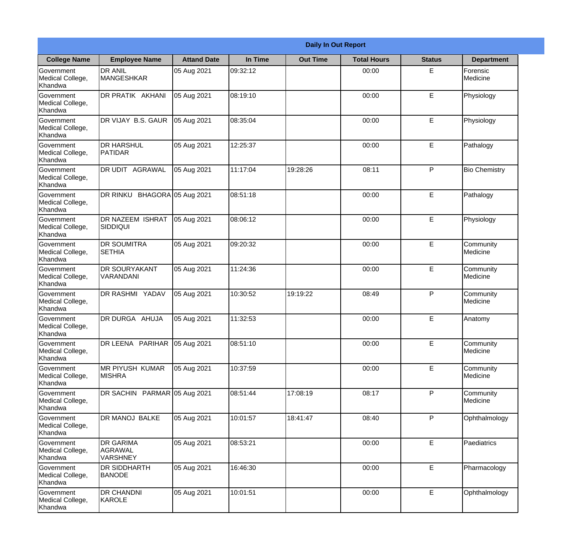|                                                  |                                                |                     |          | <b>Daily In Out Report</b> |                    |               |                       |
|--------------------------------------------------|------------------------------------------------|---------------------|----------|----------------------------|--------------------|---------------|-----------------------|
| <b>College Name</b>                              | <b>Employee Name</b>                           | <b>Attand Date</b>  | In Time  | <b>Out Time</b>            | <b>Total Hours</b> | <b>Status</b> | <b>Department</b>     |
| Government<br>Medical College,<br>Khandwa        | <b>DR ANIL</b><br><b>MANGESHKAR</b>            | 05 Aug 2021         | 09:32:12 |                            | 00:00              | E             | Forensic<br>Medicine  |
| Government<br>Medical College,<br>Khandwa        | DR PRATIK AKHANI                               | 05 Aug 2021         | 08:19:10 |                            | 00:00              | E             | Physiology            |
| <b>Government</b><br>Medical College,<br>Khandwa | DR VIJAY B.S. GAUR                             | 05 Aug 2021         | 08:35:04 |                            | 00:00              | E             | Physiology            |
| Government<br>Medical College,<br>Khandwa        | <b>DR HARSHUL</b><br>PATIDAR                   | 05 Aug 2021         | 12:25:37 |                            | 00:00              | E             | Pathalogy             |
| <b>Government</b><br>Medical College,<br>Khandwa | <b>DR UDIT AGRAWAL</b>                         | 05 Aug 2021         | 11:17:04 | 19:28:26                   | 08:11              | P             | <b>Bio Chemistry</b>  |
| Government<br>Medical College,<br>Khandwa        | DR RINKU                                       | BHAGORA 05 Aug 2021 | 08:51:18 |                            | 00:00              | E             | Pathalogy             |
| Government<br>Medical College,<br>Khandwa        | DR NAZEEM ISHRAT<br><b>SIDDIQUI</b>            | 05 Aug 2021         | 08:06:12 |                            | 00:00              | E             | Physiology            |
| Government<br>Medical College,<br>Khandwa        | <b>DR SOUMITRA</b><br><b>SETHIA</b>            | 05 Aug 2021         | 09:20:32 |                            | 00:00              | E             | Community<br>Medicine |
| Government<br>Medical College,<br>Khandwa        | <b>DR SOURYAKANT</b><br>VARANDANI              | 05 Aug 2021         | 11:24:36 |                            | 00:00              | E             | Community<br>Medicine |
| Government<br>Medical College,<br>Khandwa        | DR RASHMI YADAV                                | 05 Aug 2021         | 10:30:52 | 19:19:22                   | 08:49              | P             | Community<br>Medicine |
| Government<br>Medical College,<br>Khandwa        | DR DURGA AHUJA                                 | 05 Aug 2021         | 11:32:53 |                            | 00:00              | E             | Anatomy               |
| Government<br>Medical College,<br>Khandwa        | DR LEENA PARIHAR                               | 05 Aug 2021         | 08:51:10 |                            | 00:00              | E             | Community<br>Medicine |
| Government<br>Medical College,<br>Khandwa        | MR PIYUSH KUMAR<br><b>MISHRA</b>               | 05 Aug 2021         | 10:37:59 |                            | 00:00              | E             | Community<br>Medicine |
| Government<br>Medical College,<br>Khandwa        | DR SACHIN PARMAR 05 Aug 2021                   |                     | 08:51:44 | 17:08:19                   | 08:17              | P             | Community<br>Medicine |
| <b>Government</b><br>Medical College,<br>Khandwa | DR MANOJ BALKE                                 | 05 Aug 2021         | 10:01:57 | 18:41:47                   | 08:40              | P             | Ophthalmology         |
| Government<br>Medical College,<br>Khandwa        | <b>DR GARIMA</b><br>AGRAWAL<br><b>VARSHNEY</b> | 05 Aug 2021         | 08:53:21 |                            | 00:00              | E             | Paediatrics           |
| Government<br>Medical College,<br>Khandwa        | <b>DR SIDDHARTH</b><br><b>BANODE</b>           | 05 Aug 2021         | 16:46:30 |                            | 00:00              | E             | Pharmacology          |
| Government<br>Medical College,<br>Khandwa        | <b>DR CHANDNI</b><br>KAROLE                    | 05 Aug 2021         | 10:01:51 |                            | 00:00              | E             | Ophthalmology         |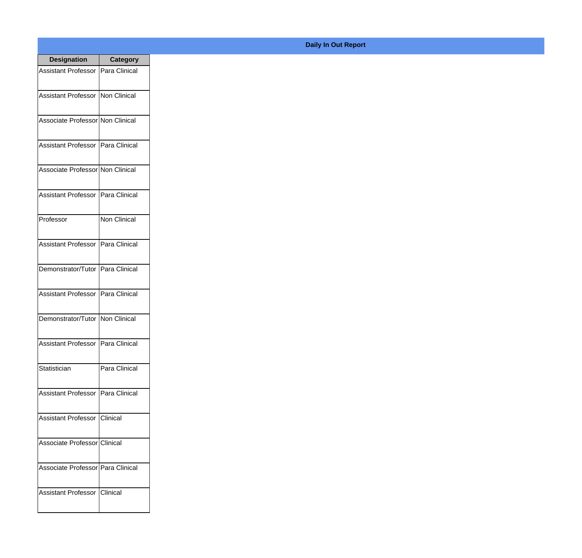| <b>Designation</b>                         | <b>Category</b> |
|--------------------------------------------|-----------------|
| <b>Assistant Professor   Para Clinical</b> |                 |
| Assistant Professor   Non Clinical         |                 |
| Associate Professor Non Clinical           |                 |
| <b>Assistant Professor</b>                 | Para Clinical   |
| Associate Professor Non Clinical           |                 |
| Assistant Professor   Para Clinical        |                 |
| Professor                                  | Non Clinical    |
| Assistant Professor   Para Clinical        |                 |
| Demonstrator/Tutor   Para Clinical         |                 |
| <b>Assistant Professor</b>                 | Para Clinical   |
| Demonstrator/Tutor                         | Non Clinical    |
| Assistant Professor   Para Clinical        |                 |
| Statistician                               | Para Clinical   |
| Assistant Professor   Para Clinical        |                 |
| Assistant Professor   Clinical             |                 |
| Associate Professor Clinical               |                 |
| Associate Professor Para Clinical          |                 |
| Assistant Professor   Clinical             |                 |

## **Daily In Out Report**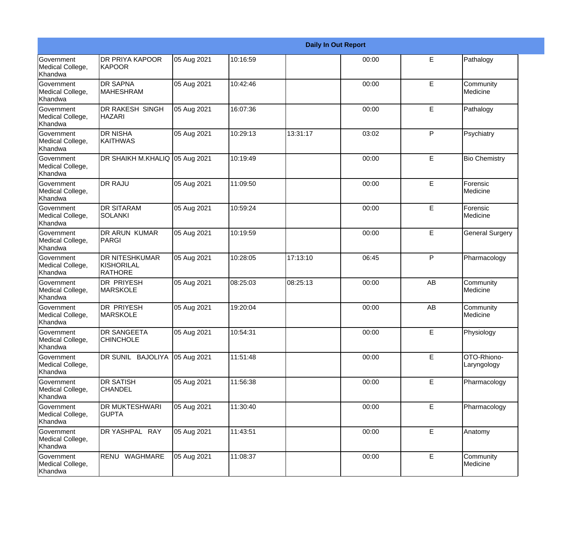|                                                  |                                                       |             |          |          | <b>Daily In Out Report</b> |    |                            |
|--------------------------------------------------|-------------------------------------------------------|-------------|----------|----------|----------------------------|----|----------------------------|
| Government<br>Medical College,<br>Khandwa        | <b>DR PRIYA KAPOOR</b><br>KAPOOR                      | 05 Aug 2021 | 10:16:59 |          | 00:00                      | E  | Pathalogy                  |
| Government<br>Medical College,<br>Khandwa        | <b>DR SAPNA</b><br>MAHESHRAM                          | 05 Aug 2021 | 10:42:46 |          | 00:00                      | E  | Community<br>Medicine      |
| <b>Government</b><br>Medical College,<br>Khandwa | <b>DR RAKESH SINGH</b><br><b>HAZARI</b>               | 05 Aug 2021 | 16:07:36 |          | 00:00                      | E  | Pathalogy                  |
| Government<br>Medical College,<br>Khandwa        | <b>DR NISHA</b><br>KAITHWAS                           | 05 Aug 2021 | 10:29:13 | 13:31:17 | 03:02                      | P  | Psychiatry                 |
| Government<br>Medical College,<br>Khandwa        | DR SHAIKH M.KHALIQ 05 Aug 2021                        |             | 10:19:49 |          | 00:00                      | E  | <b>Bio Chemistry</b>       |
| Government<br>Medical College,<br><b>Khandwa</b> | <b>DR RAJU</b>                                        | 05 Aug 2021 | 11:09:50 |          | 00:00                      | E  | Forensic<br>Medicine       |
| Government<br>Medical College,<br>Khandwa        | <b>DR SITARAM</b><br>SOLANKI                          | 05 Aug 2021 | 10:59:24 |          | 00:00                      | E  | Forensic<br>Medicine       |
| <b>Government</b><br>Medical College,<br>Khandwa | DR ARUN KUMAR<br>PARGI                                | 05 Aug 2021 | 10:19:59 |          | 00:00                      | E  | <b>General Surgery</b>     |
| Government<br>Medical College,<br>Khandwa        | <b>DR NITESHKUMAR</b><br><b>KISHORILAL</b><br>RATHORE | 05 Aug 2021 | 10:28:05 | 17:13:10 | 06:45                      | P  | Pharmacology               |
| Government<br>Medical College,<br>Khandwa        | <b>DR PRIYESH</b><br><b>MARSKOLE</b>                  | 05 Aug 2021 | 08:25:03 | 08:25:13 | 00:00                      | AB | Community<br>Medicine      |
| Government<br>Medical College,<br>Khandwa        | <b>DR PRIYESH</b><br><b>MARSKOLE</b>                  | 05 Aug 2021 | 19:20:04 |          | 00:00                      | AB | Community<br>Medicine      |
| Government<br>Medical College,<br>Khandwa        | <b>DR SANGEETA</b><br><b>CHINCHOLE</b>                | 05 Aug 2021 | 10:54:31 |          | 00:00                      | E  | Physiology                 |
| Government<br>Medical College,<br>Khandwa        | DR SUNIL BAJOLIYA                                     | 05 Aug 2021 | 11:51:48 |          | 00:00                      | E  | OTO-Rhiono-<br>Laryngology |
| Government<br>Medical College,<br>Khandwa        | <b>DR SATISH</b><br><b>CHANDEL</b>                    | 05 Aug 2021 | 11:56:38 |          | 00:00                      | E. | Pharmacology               |
| Government<br>Medical College,<br>Khandwa        | <b>DR MUKTESHWARI</b><br><b>GUPTA</b>                 | 05 Aug 2021 | 11:30:40 |          | 00:00                      | E  | Pharmacology               |
| Government<br>Medical College,<br>Khandwa        | DR YASHPAL RAY                                        | 05 Aug 2021 | 11:43:51 |          | 00:00                      | E  | Anatomy                    |
| Government<br>Medical College,<br>Khandwa        | RENU WAGHMARE                                         | 05 Aug 2021 | 11:08:37 |          | 00:00                      | E  | Community<br>Medicine      |